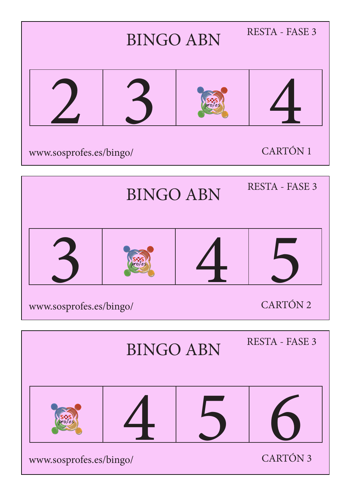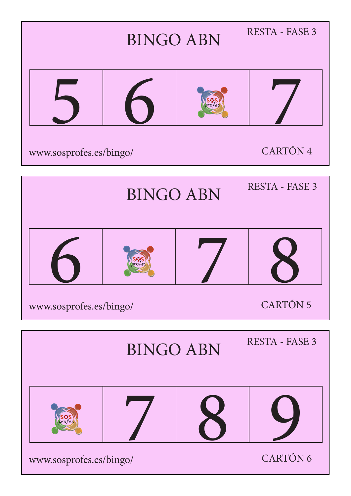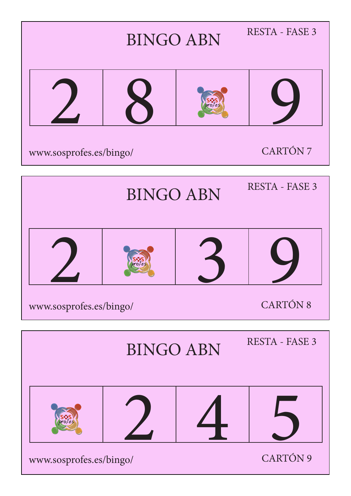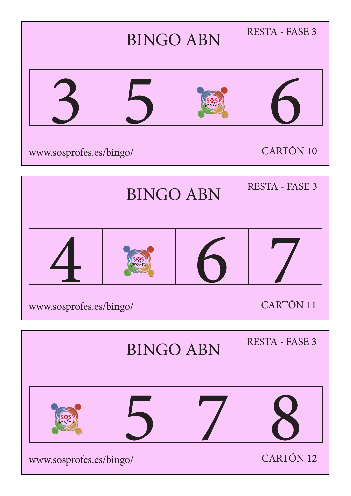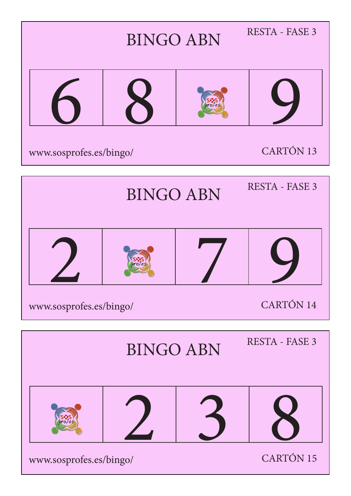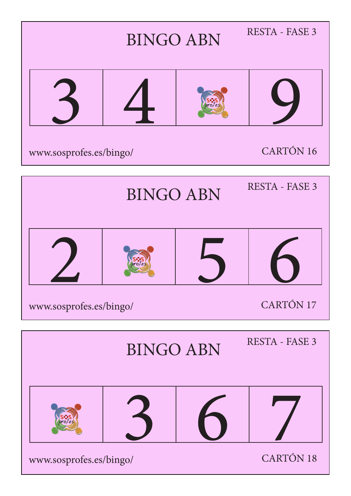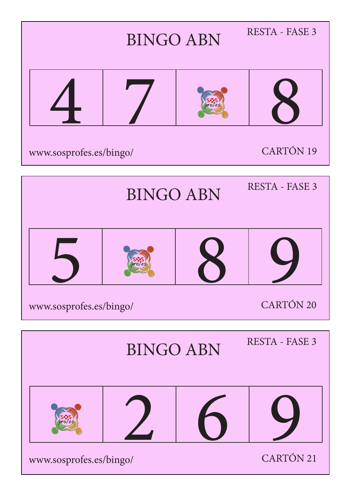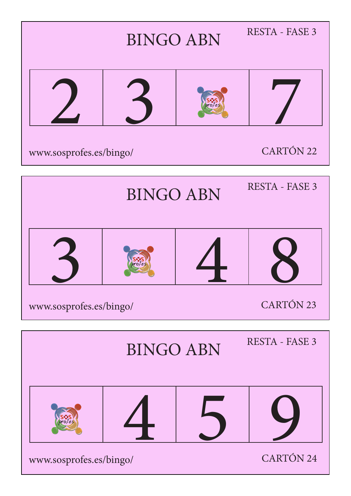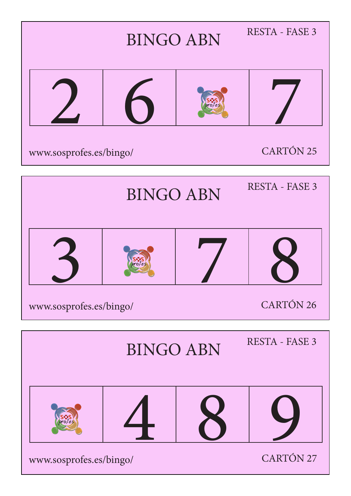